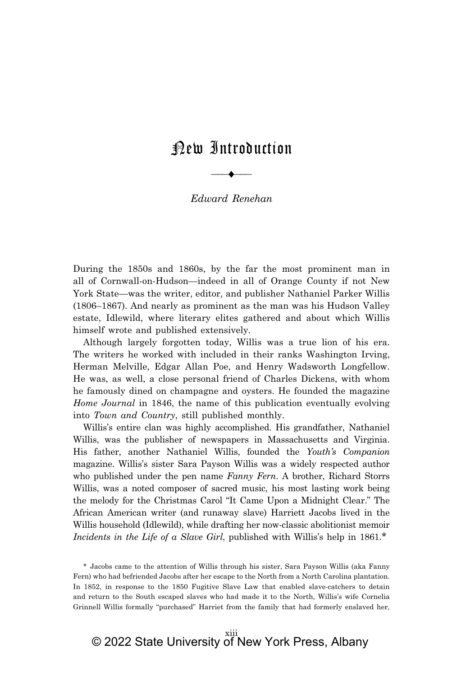## New Introduction



## *Edward Renehan*

During the 1850s and 1860s, by the far the most prominent man in all of Cornwall-on-Hudson—indeed in all of Orange County if not New York State—was the writer, editor, and publisher Nathaniel Parker Willis  $(1806-1867)$ . And nearly as prominent as the man was his Hudson Valley estate, Idlewild, where literary elites gathered and about which Willis himself wrote and published extensively.

Although largely forgotten today, Willis was a true lion of his era. The writers he worked with included in their ranks Washington Irving, Herman Melville, Edgar Allan Poe, and Henry Wadsworth Longfellow. He was, as well, a close personal friend of Charles Dickens, with whom he famously dined on champagne and oysters. He founded the magazine *Home Journal* in 1846, the name of this publication eventually evolving into *Town and Country*, still published monthly.

Willis's entire clan was highly accomplished. His grandfather, Nathaniel Willis, was the publisher of newspapers in Massachusetts and Virginia. His father, another Nathaniel Willis, founded the *Youth's Companion* magazine. Willis's sister Sara Payson Willis was a widely respected author who published under the pen name *Fanny Fern*. A brother, Richard Storrs Willis, was a noted composer of sacred music, his most lasting work being the melody for the Christmas Carol "It Came Upon a Midnight Clear." The African American writer (and runaway slave) Harriett Jacobs lived in the Willis household (Idlewild), while drafting her now-classic abolitionist memoir *Incidents in the Life of a Slave Girl*, published with Willis's help in 1861.<sup>\*</sup>

\* Jacobs came to the attention of Willis through his sister, Sara Payson Willis (aka Fanny Fern) who had befriended Jacobs after her escape to the North from a North Carolina plantation. In 1852, in response to the 1850 Fugitive Slave Law that enabled slave-catchers to detain and return to the South escaped slaves who had made it to the North, Willis's wife Cornelia Grinnell Willis formally "purchased" Harriet from the family that had formerly enslaved her,

xiii © 2022 State University of New York Press, Albany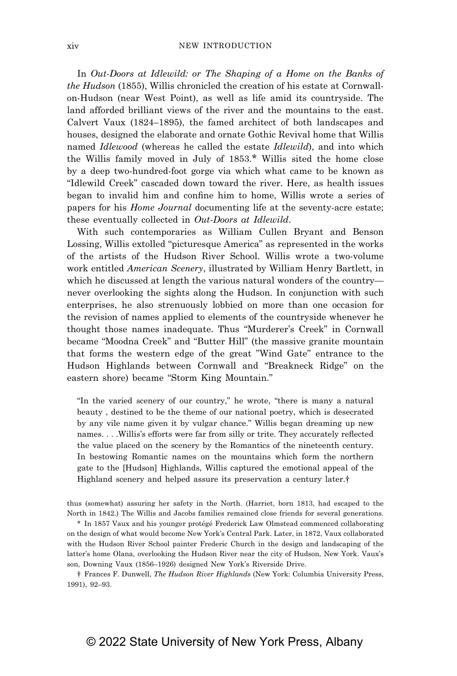In *Out-Doors at Idlewild: or The Shaping of a Home on the Banks of the Hudson* (1855), Willis chronicled the creation of his estate at Cornwallon-Hudson (near West Point), as well as life amid its countryside. The land afforded brilliant views of the river and the mountains to the east. Calvert Vaux (1824–1895), the famed architect of both landscapes and houses, designed the elaborate and ornate Gothic Revival home that Willis named *Idlewood* (whereas he called the estate *Idlewild*), and into which the Willis family moved in July of 1853.\* Willis sited the home close by a deep two-hundred-foot gorge via which what came to be known as "Idlewild Creek" cascaded down toward the river. Here, as health issues began to invalid him and confine him to home, Willis wrote a series of papers for his *Home Journal* documenting life at the seventy-acre estate; these eventually collected in *Out-Doors at Idlewild*.

With such contemporaries as William Cullen Bryant and Benson Lossing, Willis extolled "picturesque America" as represented in the works of the artists of the Hudson River School. Willis wrote a two-volume work entitled *American Scenery*, illustrated by William Henry Bartlett, in which he discussed at length the various natural wonders of the countrynever overlooking the sights along the Hudson. In conjunction with such enterprises, he also strenuously lobbied on more than one occasion for the revision of names applied to elements of the countryside whenever he thought those names inadequate. Thus "Murderer's Creek" in Cornwall became "Moodna Creek" and "Butter Hill" (the massive granite mountain that forms the western edge of the great "Wind Gate" entrance to the Hudson Highlands between Cornwall and "Breakneck Ridge" on the eastern shore) became "Storm King Mountain."

"In the varied scenery of our country," he wrote, "there is many a natural beauty , destined to be the theme of our national poetry, which is desecrated by any vile name given it by vulgar chance." Willis began dreaming up new names...Willis's efforts were far from silly or trite. They accurately reflected the value placed on the scenery by the Romantics of the nineteenth century. In bestowing Romantic names on the mountains which form the northern gate to the [Hudson] Highlands, Willis captured the emotional appeal of the Highland scenery and helped assure its preservation a century later.†

thus (somewhat) assuring her safety in the North. (Harriet, born 1813, had escaped to the North in 1842.) The Willis and Jacobs families remained close friends for several generations.

\* In 1857 Vaux and his younger protégé Frederick Law Olmstead commenced collaborating on the design of what would become New York's Central Park. Later, in 1872, Vaux collaborated with the Hudson River School painter Frederic Church in the design and landscaping of the latter's home Olana, overlooking the Hudson River near the city of Hudson, New York. Vaux's son, Downing Vaux (1856–1926) designed New York's Riverside Drive.

† Frances F. Dunwell, *The Hudson River Highlands* (New York: Columbia University Press, 1991), 92-93.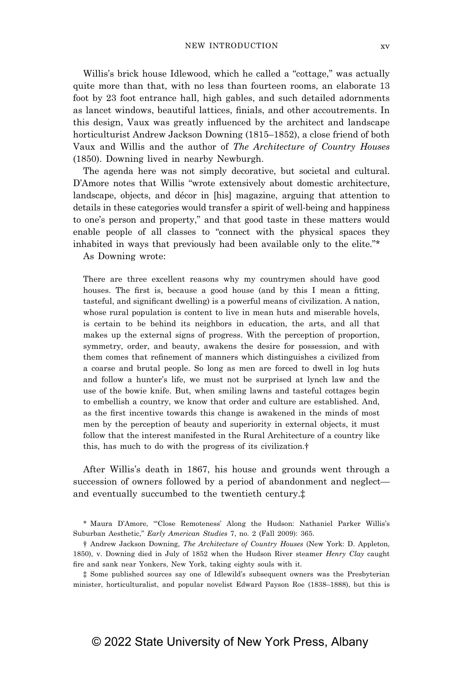Willis's brick house Idlewood, which he called a "cottage," was actually quite more than that, with no less than fourteen rooms, an elaborate 13 foot by 23 foot entrance hall, high gables, and such detailed adornments as lancet windows, beautiful lattices, finials, and other accoutrements. In this design, Vaux was greatly influenced by the architect and landscape horticulturist Andrew Jackson Downing (1815–1852), a close friend of both Vaux and Willis and the author of *The Architecture of Country Houses*  $(1850)$ . Downing lived in nearby Newburgh.

The agenda here was not simply decorative, but societal and cultural. D'Amore notes that Willis "wrote extensively about domestic architecture, landscape, objects, and décor in [his] magazine, arguing that attention to details in these categories would transfer a spirit of well-being and happiness to one's person and property," and that good taste in these matters would enable people of all classes to "connect with the physical spaces they inhabited in ways that previously had been available only to the elite."\*

As Downing wrote:

There are three excellent reasons why my countrymen should have good houses. The first is, because a good house (and by this I mean a fitting, tasteful, and significant dwelling) is a powerful means of civilization. A nation, whose rural population is content to live in mean huts and miserable hovels, is certain to be behind its neighbors in education, the arts, and all that makes up the external signs of progress. With the perception of proportion, symmetry, order, and beauty, awakens the desire for possession, and with them comes that refinement of manners which distinguishes a civilized from a coarse and brutal people. So long as men are forced to dwell in log huts and follow a hunter's life, we must not be surprised at lynch law and the use of the bowie knife. But, when smiling lawns and tasteful cottages begin to embellish a country, we know that order and culture are established. And, as the first incentive towards this change is awakened in the minds of most men by the perception of beauty and superiority in external objects, it must follow that the interest manifested in the Rural Architecture of a country like this, has much to do with the progress of its civilization. $\dagger$ 

After Willis's death in 1867, his house and grounds went through a succession of owners followed by a period of abandonment and neglect and eventually succumbed to the twentieth century.‡

\* Maura D'Amore, "Close Remoteness' Along the Hudson: Nathaniel Parker Willis's Suburban Aesthetic," *Early American Studies* 7, no. 2 (Fall 2009): 365.

<sup>†</sup> Andrew Jackson Downing, *The Architecture of Country Houses* (New York: D. Appleton, 1850), v. Downing died in July of 1852 when the Hudson River steamer *Henry Clay* caught fire and sank near Yonkers, New York, taking eighty souls with it.

<sup>1</sup>. Some published sources say one of Idlewild's subsequent owners was the Presbyterian minister, horticulturalist, and popular novelist Edward Payson Roe (1838–1888), but this is

## © 2022 State University of New York Press, Albany